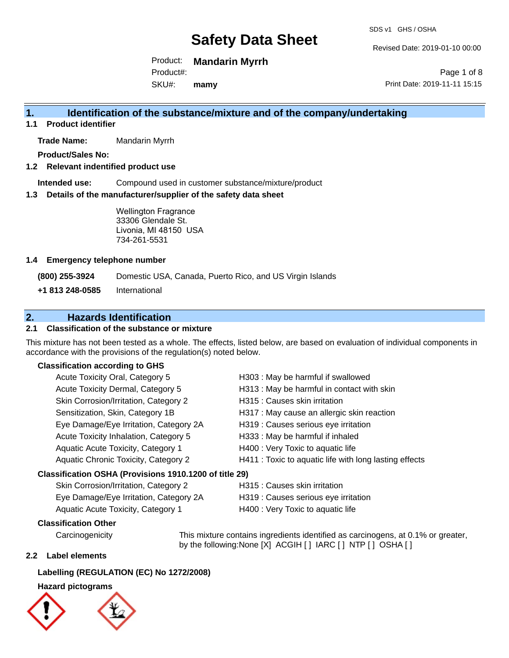Revised Date: 2019-01-10 00:00

Product: **Mandarin Myrrh** Product#:

SKU#: **mamy**

Page 1 of 8 Print Date: 2019-11-11 15:15

### **1. Identification of the substance/mixture and of the company/undertaking**

**1.1 Product identifier**

**Trade Name:** Mandarin Myrrh

**Product/Sales No:**

**1.2 Relevant indentified product use**

**Intended use:** Compound used in customer substance/mixture/product

**1.3 Details of the manufacturer/supplier of the safety data sheet**

Wellington Fragrance 33306 Glendale St. Livonia, MI 48150 USA 734-261-5531

#### **1.4 Emergency telephone number**

**(800) 255-3924** Domestic USA, Canada, Puerto Rico, and US Virgin Islands

**+1 813 248-0585** International

#### **2. Hazards Identification**

#### **2.1 Classification of the substance or mixture**

This mixture has not been tested as a whole. The effects, listed below, are based on evaluation of individual components in accordance with the provisions of the regulation(s) noted below.

#### **Classification according to GHS**

| Acute Toxicity Oral, Category 5                        | H303 : May be harmful if swallowed                     |
|--------------------------------------------------------|--------------------------------------------------------|
| Acute Toxicity Dermal, Category 5                      | H313 : May be harmful in contact with skin             |
| Skin Corrosion/Irritation, Category 2                  | H315 : Causes skin irritation                          |
| Sensitization, Skin, Category 1B                       | H317 : May cause an allergic skin reaction             |
| Eye Damage/Eye Irritation, Category 2A                 | H319 : Causes serious eye irritation                   |
| Acute Toxicity Inhalation, Category 5                  | H333: May be harmful if inhaled                        |
| Aquatic Acute Toxicity, Category 1                     | H400 : Very Toxic to aquatic life                      |
| Aquatic Chronic Toxicity, Category 2                   | H411 : Toxic to aquatic life with long lasting effects |
| Classification OSHA (Provisions 1910.1200 of title 29) |                                                        |
|                                                        |                                                        |

### Skin Corrosion/Irritation, Category 2 **H315** : Causes skin irritation

| Eye Damage/Eye Irritation, Category 2A    | H319 : Causes serious eye irritation |
|-------------------------------------------|--------------------------------------|
| <b>Aquatic Acute Toxicity, Category 1</b> | H400 : Very Toxic to aquatic life    |

#### **Classification Other**

Carcinogenicity This mixture contains ingredients identified as carcinogens, at 0.1% or greater, by the following:None [X] ACGIH [ ] IARC [ ] NTP [ ] OSHA [ ]

#### **2.2 Label elements**

#### **Labelling (REGULATION (EC) No 1272/2008)**

#### **Hazard pictograms**



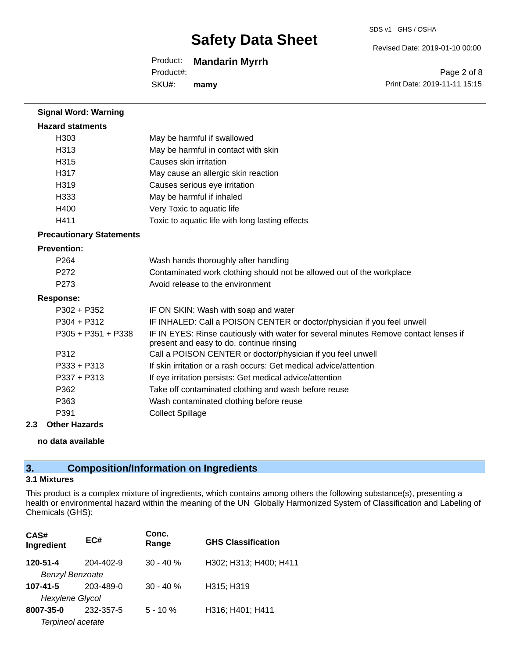#### Product: **Mandarin Myrrh**

SKU#: Product#: **mamy** Revised Date: 2019-01-10 00:00

Page 2 of 8 Print Date: 2019-11-11 15:15

| <b>Signal Word: Warning</b>     |                                                                                                                                  |
|---------------------------------|----------------------------------------------------------------------------------------------------------------------------------|
| <b>Hazard statments</b>         |                                                                                                                                  |
| H303                            | May be harmful if swallowed                                                                                                      |
| H313                            | May be harmful in contact with skin                                                                                              |
| H315                            | Causes skin irritation                                                                                                           |
| H317                            | May cause an allergic skin reaction                                                                                              |
| H319                            | Causes serious eye irritation                                                                                                    |
| H333                            | May be harmful if inhaled                                                                                                        |
| H400                            | Very Toxic to aquatic life                                                                                                       |
| H411                            | Toxic to aquatic life with long lasting effects                                                                                  |
| <b>Precautionary Statements</b> |                                                                                                                                  |
| <b>Prevention:</b>              |                                                                                                                                  |
| P <sub>264</sub>                | Wash hands thoroughly after handling                                                                                             |
| P272                            | Contaminated work clothing should not be allowed out of the workplace                                                            |
| P <sub>273</sub>                | Avoid release to the environment                                                                                                 |
| <b>Response:</b>                |                                                                                                                                  |
| $P302 + P352$                   | IF ON SKIN: Wash with soap and water                                                                                             |
| $P304 + P312$                   | IF INHALED: Call a POISON CENTER or doctor/physician if you feel unwell                                                          |
| $P305 + P351 + P338$            | IF IN EYES: Rinse cautiously with water for several minutes Remove contact lenses if<br>present and easy to do. continue rinsing |
| P312                            | Call a POISON CENTER or doctor/physician if you feel unwell                                                                      |
| $P333 + P313$                   | If skin irritation or a rash occurs: Get medical advice/attention                                                                |
| P337 + P313                     | If eye irritation persists: Get medical advice/attention                                                                         |
| P362                            | Take off contaminated clothing and wash before reuse                                                                             |
| P363                            | Wash contaminated clothing before reuse                                                                                          |
| P391                            | <b>Collect Spillage</b>                                                                                                          |
|                                 |                                                                                                                                  |

#### **2.3 Other Hazards**

**no data available**

### **3. Composition/Information on Ingredients**

#### **3.1 Mixtures**

This product is a complex mixture of ingredients, which contains among others the following substance(s), presenting a health or environmental hazard within the meaning of the UN Globally Harmonized System of Classification and Labeling of Chemicals (GHS):

| CAS#<br>Ingredient     | EC#       | Conc.<br>Range | <b>GHS Classification</b> |
|------------------------|-----------|----------------|---------------------------|
| 120-51-4               | 204-402-9 | $30 - 40%$     | H302; H313; H400; H411    |
| <b>Benzyl Benzoate</b> |           |                |                           |
| $107 - 41 - 5$         | 203-489-0 | $30 - 40%$     | H315; H319                |
| <b>Hexylene Glycol</b> |           |                |                           |
| 8007-35-0              | 232-357-5 | $5 - 10 \%$    | H316; H401; H411          |
| Terpineol acetate      |           |                |                           |

SDS v1 GHS / OSHA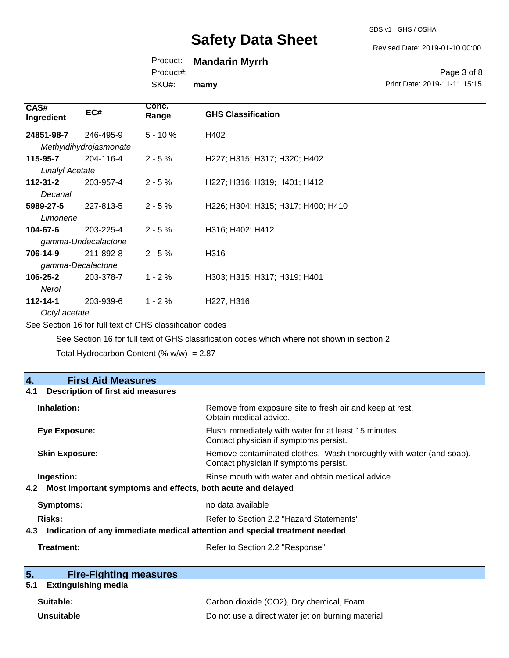#### Revised Date: 2019-01-10 00:00

#### Product: **Mandarin Myrrh**

Product#:

SKU#: **mamy**

Page 3 of 8 Print Date: 2019-11-11 15:15

| CAS#<br>Ingredient     | EC#                    | Conc.<br>Range | <b>GHS Classification</b>           |  |
|------------------------|------------------------|----------------|-------------------------------------|--|
| 24851-98-7             | 246-495-9              | $5 - 10 \%$    | H402                                |  |
|                        | Methyldihydrojasmonate |                |                                     |  |
| 115-95-7               | 204-116-4              | $2 - 5%$       | H227; H315; H317; H320; H402        |  |
| <b>Linalyl Acetate</b> |                        |                |                                     |  |
| 112-31-2               | 203-957-4              | $2 - 5%$       | H227; H316; H319; H401; H412        |  |
| Decanal                |                        |                |                                     |  |
| 5989-27-5              | 227-813-5              | $2 - 5%$       | H226; H304; H315; H317; H400; H410  |  |
|                        | Limonene               |                |                                     |  |
| 104-67-6               | 203-225-4              | $2 - 5%$       | H316; H402; H412                    |  |
| gamma-Undecalactone    |                        |                |                                     |  |
| 706-14-9               | 211-892-8              | $2 - 5%$       | H316                                |  |
|                        | gamma-Decalactone      |                |                                     |  |
| 106-25-2               | 203-378-7              | $1 - 2%$       | H303; H315; H317; H319; H401        |  |
| Nerol                  |                        |                |                                     |  |
| 112-14-1               | 203-939-6              | $1 - 2%$       | H <sub>227</sub> ; H <sub>316</sub> |  |
| Octyl acetate          |                        |                |                                     |  |

See Section 16 for full text of GHS classification codes

See Section 16 for full text of GHS classification codes which where not shown in section 2

Total Hydrocarbon Content (%  $w/w$ ) = 2.87

| 4.<br><b>First Aid Measures</b>                                                   |                                                                                                               |  |
|-----------------------------------------------------------------------------------|---------------------------------------------------------------------------------------------------------------|--|
| <b>Description of first aid measures</b><br>4.1                                   |                                                                                                               |  |
| Inhalation:                                                                       | Remove from exposure site to fresh air and keep at rest.<br>Obtain medical advice.                            |  |
| <b>Eye Exposure:</b>                                                              | Flush immediately with water for at least 15 minutes.<br>Contact physician if symptoms persist.               |  |
| <b>Skin Exposure:</b>                                                             | Remove contaminated clothes. Wash thoroughly with water (and soap).<br>Contact physician if symptoms persist. |  |
| Ingestion:                                                                        | Rinse mouth with water and obtain medical advice.                                                             |  |
| Most important symptoms and effects, both acute and delayed<br>4.2                |                                                                                                               |  |
| Symptoms:                                                                         | no data available                                                                                             |  |
| Risks:                                                                            | Refer to Section 2.2 "Hazard Statements"                                                                      |  |
| Indication of any immediate medical attention and special treatment needed<br>4.3 |                                                                                                               |  |
| Treatment:                                                                        | Refer to Section 2.2 "Response"                                                                               |  |

| 5. | <b>Fire-Fighting measures</b> |
|----|-------------------------------|
|    |                               |

### **5.1 Extinguishing media**

| Suitable:         | Carbon dioxide (CO2), Dry chemical, Foam          |
|-------------------|---------------------------------------------------|
| <b>Unsuitable</b> | Do not use a direct water jet on burning material |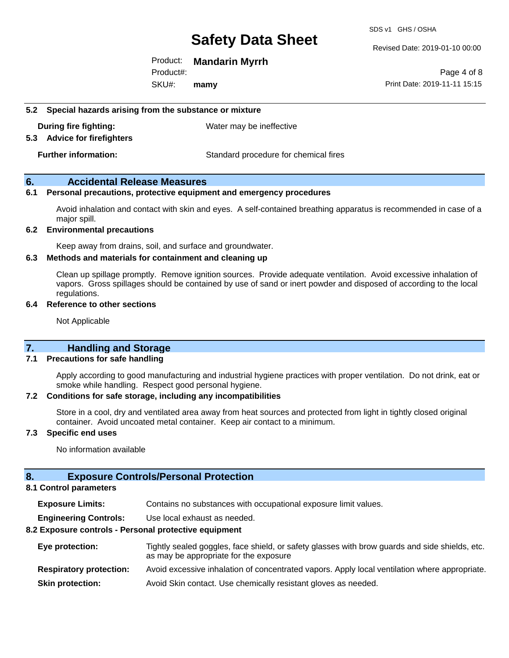#### Revised Date: 2019-01-10 00:00

Product: **Mandarin Myrrh**

SKU#: Product#: **mamy**

Page 4 of 8 Print Date: 2019-11-11 15:15

**5.2 Special hazards arising from the substance or mixture**

**During fire fighting:** Water may be ineffective

#### **5.3 Advice for firefighters**

**Further information:** Standard procedure for chemical fires

#### **6. Accidental Release Measures**

#### **6.1 Personal precautions, protective equipment and emergency procedures**

Avoid inhalation and contact with skin and eyes. A self-contained breathing apparatus is recommended in case of a major spill.

#### **6.2 Environmental precautions**

Keep away from drains, soil, and surface and groundwater.

#### **6.3 Methods and materials for containment and cleaning up**

Clean up spillage promptly. Remove ignition sources. Provide adequate ventilation. Avoid excessive inhalation of vapors. Gross spillages should be contained by use of sand or inert powder and disposed of according to the local regulations.

#### **6.4 Reference to other sections**

Not Applicable

#### **7. Handling and Storage**

#### **7.1 Precautions for safe handling**

Apply according to good manufacturing and industrial hygiene practices with proper ventilation. Do not drink, eat or smoke while handling. Respect good personal hygiene.

#### **7.2 Conditions for safe storage, including any incompatibilities**

Store in a cool, dry and ventilated area away from heat sources and protected from light in tightly closed original container. Avoid uncoated metal container. Keep air contact to a minimum.

#### **7.3 Specific end uses**

No information available

#### **8. Exposure Controls/Personal Protection**

#### **8.1 Control parameters**

**Exposure Limits:** Contains no substances with occupational exposure limit values.

**Engineering Controls:** Use local exhaust as needed.

#### **8.2 Exposure controls - Personal protective equipment**

| Eye protection:                | Tightly sealed goggles, face shield, or safety glasses with brow guards and side shields, etc.<br>as may be appropriate for the exposure |
|--------------------------------|------------------------------------------------------------------------------------------------------------------------------------------|
| <b>Respiratory protection:</b> | Avoid excessive inhalation of concentrated vapors. Apply local ventilation where appropriate.                                            |
| <b>Skin protection:</b>        | Avoid Skin contact. Use chemically resistant gloves as needed.                                                                           |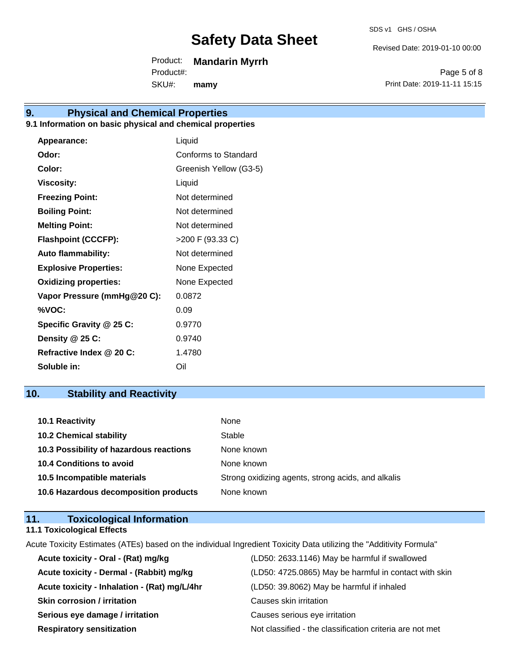SDS v1 GHS / OSHA

Revised Date: 2019-01-10 00:00

Product: **Mandarin Myrrh**

SKU#: Product#: **mamy**

Page 5 of 8 Print Date: 2019-11-11 15:15

### **9. Physical and Chemical Properties**

#### **9.1 Information on basic physical and chemical properties**

| Appearance:                  | Liquid                      |
|------------------------------|-----------------------------|
| Odor:                        | <b>Conforms to Standard</b> |
| Color:                       | Greenish Yellow (G3-5)      |
| <b>Viscosity:</b>            | Liquid                      |
| <b>Freezing Point:</b>       | Not determined              |
| <b>Boiling Point:</b>        | Not determined              |
| <b>Melting Point:</b>        | Not determined              |
| <b>Flashpoint (CCCFP):</b>   | >200 F (93.33 C)            |
| <b>Auto flammability:</b>    | Not determined              |
| <b>Explosive Properties:</b> | None Expected               |
| <b>Oxidizing properties:</b> | None Expected               |
| Vapor Pressure (mmHg@20 C):  | 0.0872                      |
| %VOC:                        | 0.09                        |
| Specific Gravity @ 25 C:     | 0.9770                      |
| Density @ 25 C:              | 0.9740                      |
| Refractive Index @ 20 C:     | 1.4780                      |
| Soluble in:                  | Oil                         |

### **10. Stability and Reactivity**

| 10.1 Reactivity                         | None                                               |
|-----------------------------------------|----------------------------------------------------|
| <b>10.2 Chemical stability</b>          | Stable                                             |
| 10.3 Possibility of hazardous reactions | None known                                         |
| <b>10.4 Conditions to avoid</b>         | None known                                         |
| 10.5 Incompatible materials             | Strong oxidizing agents, strong acids, and alkalis |
| 10.6 Hazardous decomposition products   | None known                                         |

| 11. | <b>Toxicological Information</b>  |  |
|-----|-----------------------------------|--|
|     | <b>11.1 Toxicological Effects</b> |  |

Acute Toxicity Estimates (ATEs) based on the individual Ingredient Toxicity Data utilizing the "Additivity Formula"

| Acute toxicity - Oral - (Rat) mg/kg          | (LD50: 2633.1146) May be harmful if swallowed            |
|----------------------------------------------|----------------------------------------------------------|
| Acute toxicity - Dermal - (Rabbit) mg/kg     | (LD50: 4725.0865) May be harmful in contact with skin    |
| Acute toxicity - Inhalation - (Rat) mg/L/4hr | (LD50: 39.8062) May be harmful if inhaled                |
| <b>Skin corrosion / irritation</b>           | Causes skin irritation                                   |
| Serious eye damage / irritation              | Causes serious eye irritation                            |
| <b>Respiratory sensitization</b>             | Not classified - the classification criteria are not met |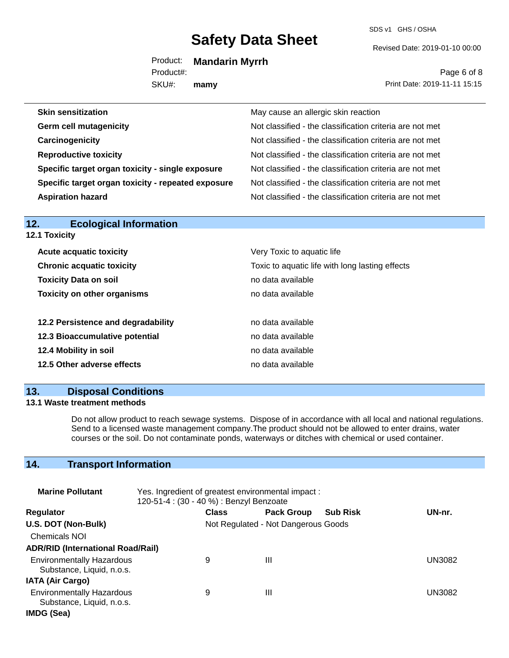SDS v1 GHS / OSHA

Revised Date: 2019-01-10 00:00

Product: **Mandarin Myrrh**

SKU#: Product#: **mamy**

Page 6 of 8 Print Date: 2019-11-11 15:15

| May cause an allergic skin reaction                      |
|----------------------------------------------------------|
| Not classified - the classification criteria are not met |
| Not classified - the classification criteria are not met |
| Not classified - the classification criteria are not met |
| Not classified - the classification criteria are not met |
| Not classified - the classification criteria are not met |
| Not classified - the classification criteria are not met |
|                                                          |

| 12.<br>Ecological Information      |                                                 |  |
|------------------------------------|-------------------------------------------------|--|
| 12.1 Toxicity                      |                                                 |  |
| <b>Acute acquatic toxicity</b>     | Very Toxic to aquatic life                      |  |
| <b>Chronic acquatic toxicity</b>   | Toxic to aquatic life with long lasting effects |  |
| <b>Toxicity Data on soil</b>       | no data available                               |  |
| <b>Toxicity on other organisms</b> | no data available                               |  |
|                                    |                                                 |  |
| 12.2 Persistence and degradability | no data available                               |  |
| 12.3 Bioaccumulative potential     | no data available                               |  |
| 12.4 Mobility in soil              | no data available                               |  |
| 12.5 Other adverse effects         | no data available                               |  |
|                                    |                                                 |  |

#### **13. Disposal Conditions**

**12. Ecological Information** 

#### **13.1 Waste treatment methods**

Do not allow product to reach sewage systems. Dispose of in accordance with all local and national regulations. Send to a licensed waste management company.The product should not be allowed to enter drains, water courses or the soil. Do not contaminate ponds, waterways or ditches with chemical or used container.

### **14. Transport Information**

| <b>Marine Pollutant</b>                                       | Yes. Ingredient of greatest environmental impact:<br>120-51-4 : (30 - 40 %) : Benzyl Benzoate |                                     |                   |                 |               |
|---------------------------------------------------------------|-----------------------------------------------------------------------------------------------|-------------------------------------|-------------------|-----------------|---------------|
| <b>Regulator</b>                                              |                                                                                               | <b>Class</b>                        | <b>Pack Group</b> | <b>Sub Risk</b> | UN-nr.        |
| U.S. DOT (Non-Bulk)                                           |                                                                                               | Not Regulated - Not Dangerous Goods |                   |                 |               |
| <b>Chemicals NOI</b>                                          |                                                                                               |                                     |                   |                 |               |
| <b>ADR/RID (International Road/Rail)</b>                      |                                                                                               |                                     |                   |                 |               |
| <b>Environmentally Hazardous</b><br>Substance, Liquid, n.o.s. |                                                                                               | 9                                   | Ш                 |                 | <b>UN3082</b> |
| <b>IATA (Air Cargo)</b>                                       |                                                                                               |                                     |                   |                 |               |
| <b>Environmentally Hazardous</b><br>Substance, Liquid, n.o.s. |                                                                                               | 9                                   | Ш                 |                 | <b>UN3082</b> |
| IMDG (Sea)                                                    |                                                                                               |                                     |                   |                 |               |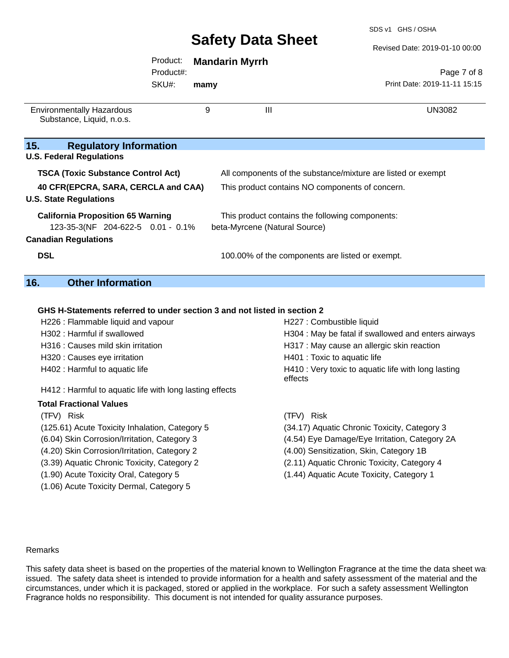#### Revised Date: 2019-01-10 00:00

#### Product: **Mandarin Myrrh**

SKU#: Product#:

**mamy**

Page 7 of 8 Print Date: 2019-11-11 15:15

| <b>Environmentally Hazardous</b><br>Substance, Liquid, n.o.s.                                                     | 9 | $\mathbf{III}$                                                                                                  | <b>UN3082</b> |
|-------------------------------------------------------------------------------------------------------------------|---|-----------------------------------------------------------------------------------------------------------------|---------------|
| 15.<br><b>Regulatory Information</b><br><b>U.S. Federal Regulations</b>                                           |   |                                                                                                                 |               |
| <b>TSCA (Toxic Substance Control Act)</b><br>40 CFR(EPCRA, SARA, CERCLA and CAA)<br><b>U.S. State Regulations</b> |   | All components of the substance/mixture are listed or exempt<br>This product contains NO components of concern. |               |
| <b>California Proposition 65 Warning</b><br>123-35-3(NF 204-622-5 0.01 - 0.1%<br><b>Canadian Regulations</b>      |   | This product contains the following components:<br>beta-Myrcene (Natural Source)                                |               |
| <b>DSL</b>                                                                                                        |   | 100.00% of the components are listed or exempt.                                                                 |               |

#### **16. Other Information**

#### **GHS H-Statements referred to under section 3 and not listed in section 2**

| H226 : Flammable liquid and vapour                       | H227 : Combustible liquid                                      |
|----------------------------------------------------------|----------------------------------------------------------------|
| H302 : Harmful if swallowed                              | H304 : May be fatal if swallowed and enters airways            |
| H316 : Causes mild skin irritation                       | H317 : May cause an allergic skin reaction                     |
| H320 : Causes eye irritation                             | H401 : Toxic to aquatic life                                   |
| H402 : Harmful to aquatic life                           | H410 : Very toxic to aquatic life with long lasting<br>effects |
| H412 : Harmful to aquatic life with long lasting effects |                                                                |
| <b>Total Fractional Values</b>                           |                                                                |
| (TFV) Risk                                               | (TFV) Risk                                                     |
| (125.61) Acute Toxicity Inhalation, Category 5           | (34.17) Aquatic Chronic Toxicity, Category 3                   |
| (6.04) Skin Corrosion/Irritation, Category 3             | (4.54) Eye Damage/Eye Irritation, Category 2A                  |
| (4.20) Skin Corrosion/Irritation, Category 2             | (4.00) Sensitization, Skin, Category 1B                        |
| (3.39) Aquatic Chronic Toxicity, Category 2              | (2.11) Aquatic Chronic Toxicity, Category 4                    |

- 
- (1.06) Acute Toxicity Dermal, Category 5
- (1.90) Acute Toxicity Oral, Category 5 (1.44) Aquatic Acute Toxicity, Category 1

#### Remarks

This safety data sheet is based on the properties of the material known to Wellington Fragrance at the time the data sheet was issued. The safety data sheet is intended to provide information for a health and safety assessment of the material and the circumstances, under which it is packaged, stored or applied in the workplace. For such a safety assessment Wellington Fragrance holds no responsibility. This document is not intended for quality assurance purposes.